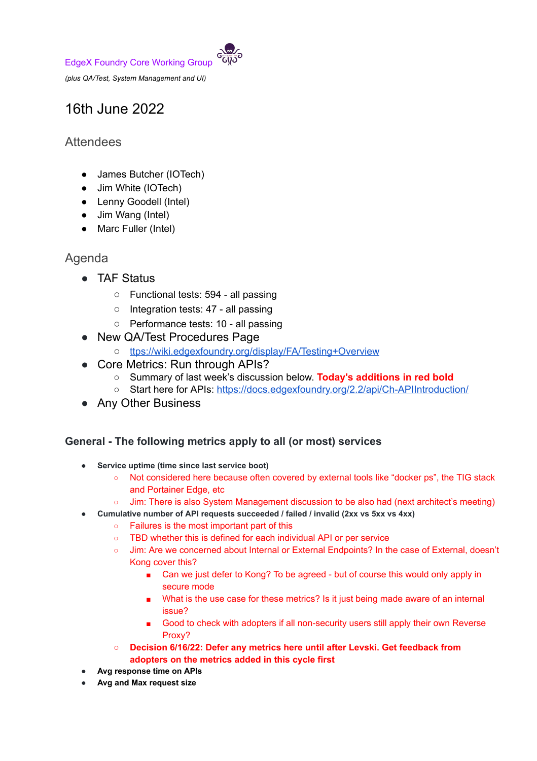EdgeX Foundry Core Working Group

*(plus QA/Test, System Management and UI)*

# 16th June 2022

## **Attendees**

- James Butcher (IOTech)
- Jim White (IOTech)
- Lenny Goodell (Intel)
- Jim Wang (Intel)
- Marc Fuller (Intel)

## Agenda

- TAF Status
	- Functional tests: 594 all passing
	- Integration tests: 47 all passing
	- Performance tests: 10 all passing
- New QA/Test Procedures Page
	- o [ttps://wiki.edgexfoundry.org/display/FA/Testing+Overview](https://wiki.edgexfoundry.org/display/FA/Testing+Overview)
- Core Metrics: Run through APIs?
	- Summary of last week's discussion below. **Today's additions in red bold**
	- O Start here for APIs: <https://docs.edgexfoundry.org/2.2/api/Ch-APIIntroduction/>
- Any Other Business

### **General - The following metrics apply to all (or most) services**

- **● Service uptime (time since last service boot)**
	- Not considered here because often covered by external tools like "docker ps", the TIG stack and Portainer Edge, etc
	- Jim: There is also System Management discussion to be also had (next architect's meeting)
- **● Cumulative number of API requests succeeded / failed / invalid (2xx vs 5xx vs 4xx)**
	- Failures is the most important part of this
	- TBD whether this is defined for each individual API or per service
	- Jim: Are we concerned about Internal or External Endpoints? In the case of External, doesn't Kong cover this?
		- Can we just defer to Kong? To be agreed but of course this would only apply in secure mode
		- What is the use case for these metrics? Is it just being made aware of an internal issue?
		- Good to check with adopters if all non-security users still apply their own Reverse Proxy?
	- **○ Decision 6/16/22: Defer any metrics here until after Levski. Get feedback from adopters on the metrics added in this cycle first**
- **● Avg response time on APIs**
- **● Avg and Max request size**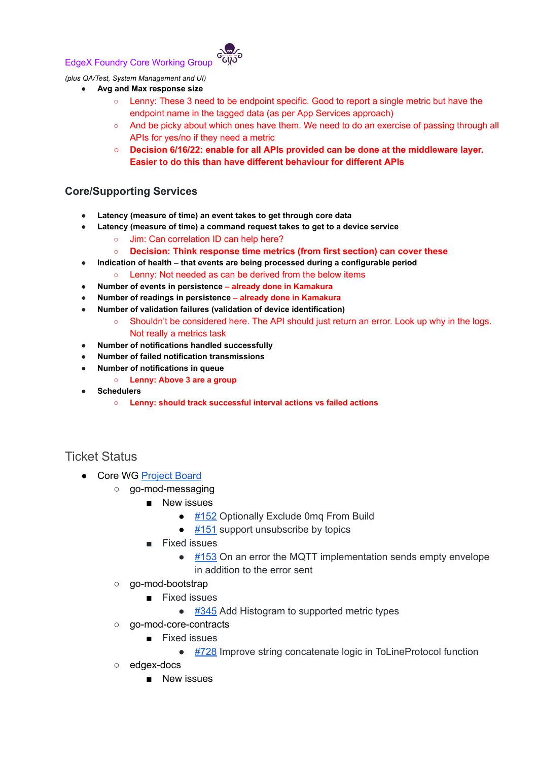#### EdgeX Foundry Core Working Group



#### *(plus QA/Test, System Management and UI)*

- **● Avg and Max response size**
	- Lenny: These 3 need to be endpoint specific. Good to report a single metric but have the endpoint name in the tagged data (as per App Services approach)
	- And be picky about which ones have them. We need to do an exercise of passing through all APIs for yes/no if they need a metric
	- **○ Decision 6/16/22: enable for all APIs provided can be done at the middleware layer. Easier to do this than have different behaviour for different APIs**

#### **Core/Supporting Services**

- **● Latency (measure of time) an event takes to get through core data**
- **● Latency (measure of time) a command request takes to get to a device service**
	- Jim: Can correlation ID can help here?
	- **○ Decision: Think response time metrics (from first section) can cover these**
- **● Indication of health that events are being processed during a configurable period**
	- Lenny: Not needed as can be derived from the below items
- **● Number of events in persistence already done in Kamakura**
- **● Number of readings in persistence already done in Kamakura**
- **● Number of validation failures (validation of device identification)**
	- Shouldn't be considered here. The API should just return an error. Look up why in the logs. Not really a metrics task
- **● Number of notifications handled successfully**
- **● Number of failed notification transmissions**
- **● Number of notifications in queue**
	- **○ Lenny: Above 3 are a group**
- **● Schedulers**
	- **○ Lenny: should track successful interval actions vs failed actions**

Ticket Status

- Core WG [Project](https://github.com/orgs/edgexfoundry/projects/25) Board
	- go-mod-messaging
		- New issues
			- $\bullet$  [#152](https://github.com/edgexfoundry/go-mod-messaging/issues/152) Optionally Exclude 0mq From Build
			- $\bullet$  [#151](https://github.com/edgexfoundry/go-mod-messaging/issues/151) support unsubscribe by topics
			- Fixed issues
				- $\bullet$  [#153](https://github.com/edgexfoundry/go-mod-messaging/issues/153) On an error the MQTT implementation sends empty envelope in addition to the error sent
		- go-mod-bootstrap
			- Fixed issues
				- [#345](https://github.com/edgexfoundry/go-mod-bootstrap/issues/345) Add Histogram to supported metric types
	- go-mod-core-contracts
		- Fixed issues
			- [#728](https://github.com/edgexfoundry/go-mod-core-contracts/issues/728) Improve string concatenate logic in ToLineProtocol function
	- edgex-docs
		- New issues